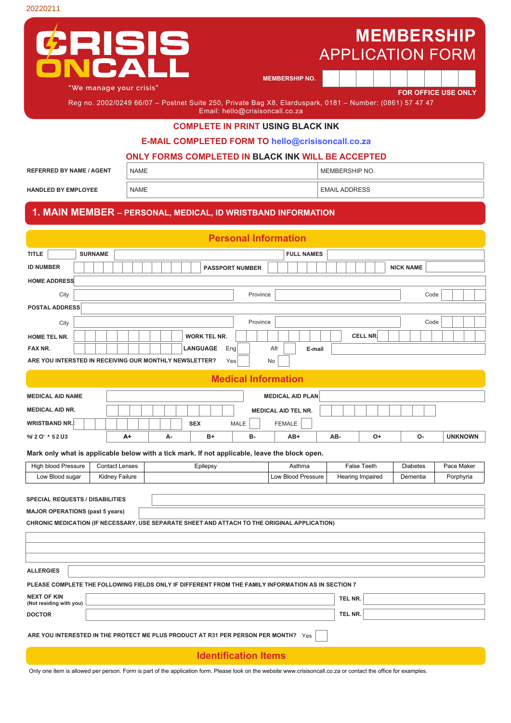

**Identification Items**

Only one item is allowed per person. Form is part of the application form. Please look on the website www.crisisoncall.co.za or contact the office for examples.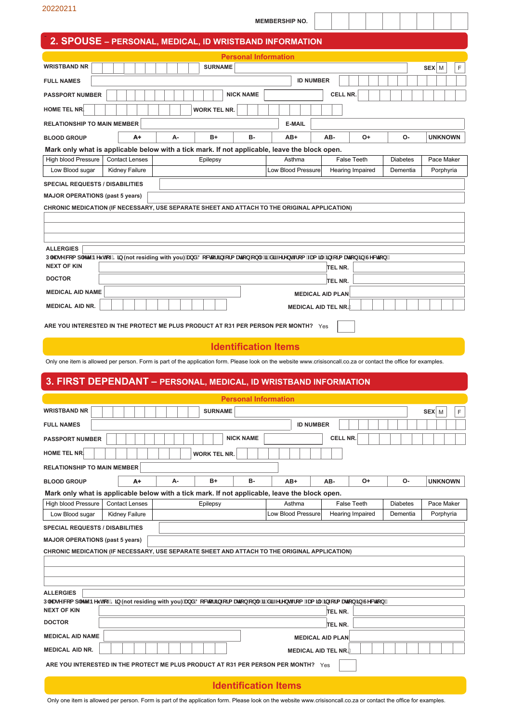|                                                                                   |                                                                                                                                                                  | <b>MEMBERSHIP NO.</b>               |                                        |                             |                         |  |  |  |  |  |  |  |  |  |  |
|-----------------------------------------------------------------------------------|------------------------------------------------------------------------------------------------------------------------------------------------------------------|-------------------------------------|----------------------------------------|-----------------------------|-------------------------|--|--|--|--|--|--|--|--|--|--|
|                                                                                   | 2. SPOUSE - PERSONAL, MEDICAL, ID WRISTBAND INFORMATION                                                                                                          |                                     |                                        |                             |                         |  |  |  |  |  |  |  |  |  |  |
|                                                                                   | <b>Personal Information</b>                                                                                                                                      |                                     |                                        |                             |                         |  |  |  |  |  |  |  |  |  |  |
| <b>WRISTBAND NR</b>                                                               | <b>SURNAME</b>                                                                                                                                                   |                                     |                                        |                             | SEX M<br>F              |  |  |  |  |  |  |  |  |  |  |
| <b>FULL NAMES</b>                                                                 |                                                                                                                                                                  | <b>ID NUMBER</b>                    |                                        |                             |                         |  |  |  |  |  |  |  |  |  |  |
|                                                                                   |                                                                                                                                                                  |                                     |                                        |                             |                         |  |  |  |  |  |  |  |  |  |  |
| <b>NICK NAME</b><br>CELL NR.<br><b>PASSPORT NUMBER</b>                            |                                                                                                                                                                  |                                     |                                        |                             |                         |  |  |  |  |  |  |  |  |  |  |
| <b>HOME TEL NR.</b><br><b>WORK TEL NR.</b>                                        |                                                                                                                                                                  |                                     |                                        |                             |                         |  |  |  |  |  |  |  |  |  |  |
| <b>RELATIONSHIP TO MAIN MEMBER</b>                                                |                                                                                                                                                                  | <b>E-MAIL</b>                       |                                        |                             |                         |  |  |  |  |  |  |  |  |  |  |
| $A+$<br><b>BLOOD GROUP</b>                                                        | <b>B-</b><br>А-<br>B+                                                                                                                                            | AB+                                 | AB-<br>$O+$                            | о-                          | <b>UNKNOWN</b>          |  |  |  |  |  |  |  |  |  |  |
|                                                                                   | Mark only what is applicable below with a tick mark. If not applicable, leave the block open.                                                                    |                                     |                                        |                             |                         |  |  |  |  |  |  |  |  |  |  |
| High blood Pressure<br><b>Contact Lenses</b><br>Low Blood sugar<br>Kidney Failure | Epilepsy                                                                                                                                                         | Asthma<br><b>Low Blood Pressure</b> | <b>False Teeth</b><br>Hearing Impaired | <b>Diabetes</b><br>Dementia | Pace Maker<br>Porphyria |  |  |  |  |  |  |  |  |  |  |
| <b>SPECIAL REQUESTS / DISABILITIES</b>                                            |                                                                                                                                                                  |                                     |                                        |                             |                         |  |  |  |  |  |  |  |  |  |  |
| <b>MAJOR OPERATIONS (past 5 years)</b>                                            |                                                                                                                                                                  |                                     |                                        |                             |                         |  |  |  |  |  |  |  |  |  |  |
|                                                                                   | CHRONIC MEDICATION (IF NECESSARY, USE SEPARATE SHEET AND ATTACH TO THE ORIGINAL APPLICATION)                                                                     |                                     |                                        |                             |                         |  |  |  |  |  |  |  |  |  |  |
|                                                                                   |                                                                                                                                                                  |                                     |                                        |                             |                         |  |  |  |  |  |  |  |  |  |  |
|                                                                                   |                                                                                                                                                                  |                                     |                                        |                             |                         |  |  |  |  |  |  |  |  |  |  |
|                                                                                   |                                                                                                                                                                  |                                     |                                        |                             |                         |  |  |  |  |  |  |  |  |  |  |
| <b>ALLERGIES</b>                                                                  | D'YUgY'Wa d'Yh'BYxhcZ?]b (not residing with you) UbX 8 cWcf ]bZfa Ujcb cb'm]ZX]ZYfYbhZca ZLa [m]bZfa Ujcb']b GYWjcb +                                            |                                     |                                        |                             |                         |  |  |  |  |  |  |  |  |  |  |
| <b>NEXT OF KIN</b>                                                                |                                                                                                                                                                  |                                     | TEL NR.                                |                             |                         |  |  |  |  |  |  |  |  |  |  |
| <b>DOCTOR</b>                                                                     |                                                                                                                                                                  |                                     | TEL NR.                                |                             |                         |  |  |  |  |  |  |  |  |  |  |
| <b>MEDICAL AID NAME</b>                                                           |                                                                                                                                                                  |                                     | <b>MEDICAL AID PLAN</b>                |                             |                         |  |  |  |  |  |  |  |  |  |  |
| <b>MEDICAL AID NR.</b>                                                            |                                                                                                                                                                  | <b>MEDICAL AID TEL NR.</b>          |                                        |                             |                         |  |  |  |  |  |  |  |  |  |  |
|                                                                                   | ARE YOU INTERESTED IN THE PROTECT ME PLUS PRODUCT AT R31 PER PERSON PER MONTH? Yes                                                                               |                                     |                                        |                             |                         |  |  |  |  |  |  |  |  |  |  |
|                                                                                   |                                                                                                                                                                  |                                     |                                        |                             |                         |  |  |  |  |  |  |  |  |  |  |
|                                                                                   | <b>Identification Items</b>                                                                                                                                      |                                     |                                        |                             |                         |  |  |  |  |  |  |  |  |  |  |
|                                                                                   | Only one item is allowed per person. Form is part of the application form. Please look on the website www.crisisoncall.co.za or contact the office for examples. |                                     |                                        |                             |                         |  |  |  |  |  |  |  |  |  |  |
|                                                                                   |                                                                                                                                                                  |                                     |                                        |                             |                         |  |  |  |  |  |  |  |  |  |  |
| 3. FIRST DEPENDANT - PERSONAL, MEDICAL, ID WRISTBAND INFORMATION                  |                                                                                                                                                                  |                                     |                                        |                             |                         |  |  |  |  |  |  |  |  |  |  |
|                                                                                   |                                                                                                                                                                  |                                     |                                        |                             |                         |  |  |  |  |  |  |  |  |  |  |
|                                                                                   | <b>Personal Information</b>                                                                                                                                      |                                     |                                        |                             |                         |  |  |  |  |  |  |  |  |  |  |
| <b>WRISTBAND NR</b>                                                               | <b>SURNAME</b>                                                                                                                                                   |                                     |                                        |                             | SEX M<br>F              |  |  |  |  |  |  |  |  |  |  |
| <b>FULL NAMES</b>                                                                 |                                                                                                                                                                  | <b>ID NUMBER</b>                    |                                        |                             |                         |  |  |  |  |  |  |  |  |  |  |
| <b>PASSPORT NUMBER</b>                                                            | <b>NICK NAME</b>                                                                                                                                                 |                                     | CELL NR.                               |                             |                         |  |  |  |  |  |  |  |  |  |  |
| <b>HOME TEL NR.</b>                                                               | <b>WORK TEL NR.</b>                                                                                                                                              |                                     |                                        |                             |                         |  |  |  |  |  |  |  |  |  |  |
| <b>RELATIONSHIP TO MAIN MEMBER</b>                                                |                                                                                                                                                                  |                                     |                                        |                             |                         |  |  |  |  |  |  |  |  |  |  |
| $A+$<br><b>BLOOD GROUP</b>                                                        | в-<br>А-<br>B+                                                                                                                                                   | AB+                                 | AB-<br>0+                              | О-                          | <b>UNKNOWN</b>          |  |  |  |  |  |  |  |  |  |  |
|                                                                                   | Mark only what is applicable below with a tick mark. If not applicable, leave the block open.                                                                    |                                     |                                        |                             |                         |  |  |  |  |  |  |  |  |  |  |
| High blood Pressure<br><b>Contact Lenses</b>                                      | Epilepsy                                                                                                                                                         | Asthma                              | <b>False Teeth</b>                     | <b>Diabetes</b>             | Pace Maker              |  |  |  |  |  |  |  |  |  |  |
| Low Blood sugar<br>Kidney Failure                                                 |                                                                                                                                                                  | Low Blood Pressure                  | <b>Hearing Impaired</b>                | Dementia                    | Porphyria               |  |  |  |  |  |  |  |  |  |  |
| <b>SPECIAL REQUESTS / DISABILITIES</b>                                            |                                                                                                                                                                  |                                     |                                        |                             |                         |  |  |  |  |  |  |  |  |  |  |
| <b>MAJOR OPERATIONS (past 5 years)</b>                                            |                                                                                                                                                                  |                                     |                                        |                             |                         |  |  |  |  |  |  |  |  |  |  |
|                                                                                   | CHRONIC MEDICATION (IF NECESSARY, USE SEPARATE SHEET AND ATTACH TO THE ORIGINAL APPLICATION)                                                                     |                                     |                                        |                             |                         |  |  |  |  |  |  |  |  |  |  |
|                                                                                   |                                                                                                                                                                  |                                     |                                        |                             |                         |  |  |  |  |  |  |  |  |  |  |
|                                                                                   |                                                                                                                                                                  |                                     |                                        |                             |                         |  |  |  |  |  |  |  |  |  |  |
| <b>ALLERGIES</b>                                                                  |                                                                                                                                                                  |                                     |                                        |                             |                         |  |  |  |  |  |  |  |  |  |  |
|                                                                                   | D'YUgY'Wa d'Yh'BYxhcZ?]b (not residing with you) UbX'8cWcf ]bZcfa Uljcb cb'm]ZX]ZYfYbhZca ZJa ]'m]bZcfa Uljcb ]b GYWjcb +                                        |                                     |                                        |                             |                         |  |  |  |  |  |  |  |  |  |  |
| <b>NEXT OF KIN</b>                                                                |                                                                                                                                                                  |                                     | TEL NR.                                |                             |                         |  |  |  |  |  |  |  |  |  |  |
| <b>DOCTOR</b>                                                                     |                                                                                                                                                                  |                                     | TEL NR.                                |                             |                         |  |  |  |  |  |  |  |  |  |  |
| <b>MEDICAL AID NAME</b>                                                           |                                                                                                                                                                  |                                     | <b>MEDICAL AID PLAN</b>                |                             |                         |  |  |  |  |  |  |  |  |  |  |
| <b>MEDICAL AID NR.</b>                                                            |                                                                                                                                                                  | <b>MEDICAL AID TEL NR.</b>          |                                        |                             |                         |  |  |  |  |  |  |  |  |  |  |
|                                                                                   | ARE YOU INTERESTED IN THE PROTECT ME PLUS PRODUCT AT R31 PER PERSON PER MONTH? Yes                                                                               |                                     |                                        |                             |                         |  |  |  |  |  |  |  |  |  |  |

Only one item is allowed per person. Form is part of the application form. Please look on the website www.crisisoncall.co.za or contact the office for examples.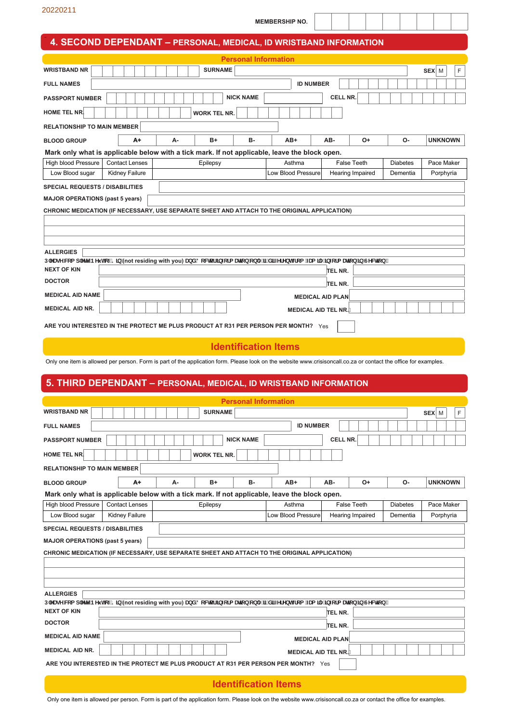|                                        |                       | 4. SECOND DEPENDANT - PERSONAL, MEDICAL, ID WRISTBAND INFORMATION                                                                                                |                            |                    |                 |                |  |  |  |  |  |
|----------------------------------------|-----------------------|------------------------------------------------------------------------------------------------------------------------------------------------------------------|----------------------------|--------------------|-----------------|----------------|--|--|--|--|--|
|                                        |                       | <b>Personal Information</b>                                                                                                                                      |                            |                    |                 |                |  |  |  |  |  |
| <b>WRISTBAND NR</b>                    |                       | <b>SURNAME</b>                                                                                                                                                   |                            |                    |                 | F<br>SEX M     |  |  |  |  |  |
| <b>FULL NAMES</b>                      |                       |                                                                                                                                                                  | <b>ID NUMBER</b>           |                    |                 |                |  |  |  |  |  |
| <b>PASSPORT NUMBER</b>                 |                       | <b>NICK NAME</b>                                                                                                                                                 |                            | CELL NR.           |                 |                |  |  |  |  |  |
|                                        |                       |                                                                                                                                                                  |                            |                    |                 |                |  |  |  |  |  |
| <b>HOME TEL NR.</b>                    |                       | <b>WORK TEL NR.</b>                                                                                                                                              |                            |                    |                 |                |  |  |  |  |  |
| <b>RELATIONSHIP TO MAIN MEMBER</b>     |                       |                                                                                                                                                                  |                            |                    |                 |                |  |  |  |  |  |
| <b>BLOOD GROUP</b>                     | $A+$                  | А-<br>$B+$<br><b>B-</b>                                                                                                                                          | AB+                        | AB-<br>0+          | о-              | <b>UNKNOWN</b> |  |  |  |  |  |
|                                        |                       | Mark only what is applicable below with a tick mark. If not applicable, leave the block open.                                                                    |                            |                    |                 |                |  |  |  |  |  |
| <b>High blood Pressure</b>             | <b>Contact Lenses</b> | Epilepsy                                                                                                                                                         | Asthma                     | <b>False Teeth</b> | <b>Diabetes</b> | Pace Maker     |  |  |  |  |  |
| Low Blood sugar                        | <b>Kidney Failure</b> |                                                                                                                                                                  | Low Blood Pressure         | Hearing Impaired   | Dementia        | Porphyria      |  |  |  |  |  |
| <b>SPECIAL REQUESTS / DISABILITIES</b> |                       |                                                                                                                                                                  |                            |                    |                 |                |  |  |  |  |  |
| <b>MAJOR OPERATIONS (past 5 years)</b> |                       |                                                                                                                                                                  |                            |                    |                 |                |  |  |  |  |  |
|                                        |                       | CHRONIC MEDICATION (IF NECESSARY, USE SEPARATE SHEET AND ATTACH TO THE ORIGINAL APPLICATION)                                                                     |                            |                    |                 |                |  |  |  |  |  |
|                                        |                       |                                                                                                                                                                  |                            |                    |                 |                |  |  |  |  |  |
|                                        |                       |                                                                                                                                                                  |                            |                    |                 |                |  |  |  |  |  |
| <b>ALLERGIES</b>                       |                       |                                                                                                                                                                  |                            |                    |                 |                |  |  |  |  |  |
|                                        |                       | D`YUgY'Wa d`Yh'BYxhcZ?]b (not residing with you) UbX'8 cWcf ]bZtfa Uhcb cb`m]ZX]ZYfYbhZca Zua j`m]bZtfa Uhcb ]b GYWhcb +                                         |                            |                    |                 |                |  |  |  |  |  |
| <b>NEXT OF KIN</b>                     |                       |                                                                                                                                                                  |                            | <b>TEL NR.</b>     |                 |                |  |  |  |  |  |
| <b>DOCTOR</b>                          |                       |                                                                                                                                                                  |                            | <b>TEL NR.</b>     |                 |                |  |  |  |  |  |
| <b>MEDICAL AID NAME</b>                |                       |                                                                                                                                                                  | <b>MEDICAL AID PLAN</b>    |                    |                 |                |  |  |  |  |  |
| <b>MEDICAL AID NR.</b>                 |                       |                                                                                                                                                                  | <b>MEDICAL AID TEL NR.</b> |                    |                 |                |  |  |  |  |  |
|                                        |                       | ARE YOU INTERESTED IN THE PROTECT ME PLUS PRODUCT AT R31 PER PERSON PER MONTH? Yes                                                                               |                            |                    |                 |                |  |  |  |  |  |
|                                        |                       | <b>Identification Items</b>                                                                                                                                      |                            |                    |                 |                |  |  |  |  |  |
|                                        |                       | Only one item is allowed per person. Form is part of the application form. Please look on the website www.crisisoncall.co.za or contact the office for examples. |                            |                    |                 |                |  |  |  |  |  |
|                                        |                       |                                                                                                                                                                  |                            |                    |                 |                |  |  |  |  |  |
|                                        |                       |                                                                                                                                                                  |                            |                    |                 |                |  |  |  |  |  |
|                                        |                       | 5. THIRD DEPENDANT - PERSONAL, MEDICAL, ID WRISTBAND INFORMATION                                                                                                 |                            |                    |                 |                |  |  |  |  |  |
|                                        |                       | <b>Personal Information</b>                                                                                                                                      |                            |                    |                 |                |  |  |  |  |  |
| <b>WRISTBAND NR</b>                    |                       | <b>SURNAME</b>                                                                                                                                                   |                            |                    |                 | F<br>SEX M     |  |  |  |  |  |
| <b>FULL NAMES</b>                      |                       |                                                                                                                                                                  | <b>ID NUMBER</b>           |                    |                 |                |  |  |  |  |  |
| <b>PASSPORT NUMBER</b>                 |                       | <b>NICK NAME</b>                                                                                                                                                 |                            | CELL NR.           |                 |                |  |  |  |  |  |
| <b>HOME TEL NR.</b>                    |                       |                                                                                                                                                                  |                            |                    |                 |                |  |  |  |  |  |
|                                        |                       | <b>WORK TEL NR.</b>                                                                                                                                              |                            |                    |                 |                |  |  |  |  |  |
| <b>RELATIONSHIP TO MAIN MEMBER</b>     |                       |                                                                                                                                                                  |                            |                    |                 |                |  |  |  |  |  |
| <b>BLOOD GROUP</b>                     | $A+$                  | А-<br>B+<br>в-                                                                                                                                                   | AB+                        | 0+<br>AB-          | о-              | <b>UNKNOWN</b> |  |  |  |  |  |
| <b>High blood Pressure</b>             | <b>Contact Lenses</b> | Mark only what is applicable below with a tick mark. If not applicable, leave the block open.                                                                    | Asthma                     | <b>False Teeth</b> | <b>Diabetes</b> | Pace Maker     |  |  |  |  |  |
| Low Blood sugar                        | <b>Kidney Failure</b> | Epilepsy                                                                                                                                                         | Low Blood Pressure         | Hearing Impaired   | Dementia        | Porphyria      |  |  |  |  |  |
| <b>SPECIAL REQUESTS / DISABILITIES</b> |                       |                                                                                                                                                                  |                            |                    |                 |                |  |  |  |  |  |
|                                        |                       |                                                                                                                                                                  |                            |                    |                 |                |  |  |  |  |  |
| <b>MAJOR OPERATIONS (past 5 years)</b> |                       | CHRONIC MEDICATION (IF NECESSARY, USE SEPARATE SHEET AND ATTACH TO THE ORIGINAL APPLICATION)                                                                     |                            |                    |                 |                |  |  |  |  |  |
|                                        |                       |                                                                                                                                                                  |                            |                    |                 |                |  |  |  |  |  |
|                                        |                       |                                                                                                                                                                  |                            |                    |                 |                |  |  |  |  |  |
|                                        |                       |                                                                                                                                                                  |                            |                    |                 |                |  |  |  |  |  |
| <b>ALLERGIES</b>                       |                       | D'YUgYW:a d'YhYBYxhcZ? ]b (not residing with you) UbX 8 cWcf ]bZ:fa Urjcb cb'm]ZX]ZYfYbhZca ZJa ]'m]bZ:fa Urjcb']b GYWjcb +                                      |                            |                    |                 |                |  |  |  |  |  |
| <b>NEXT OF KIN</b>                     |                       |                                                                                                                                                                  |                            | TEL NR.            |                 |                |  |  |  |  |  |
| <b>DOCTOR</b>                          |                       |                                                                                                                                                                  |                            | TEL NR.            |                 |                |  |  |  |  |  |
| <b>MEDICAL AID NAME</b>                |                       |                                                                                                                                                                  | <b>MEDICAL AID PLAN</b>    |                    |                 |                |  |  |  |  |  |
| <b>MEDICAL AID NR.</b>                 |                       |                                                                                                                                                                  | <b>MEDICAL AID TEL NR.</b> |                    |                 |                |  |  |  |  |  |
|                                        |                       | ARE YOU INTERESTED IN THE PROTECT ME PLUS PRODUCT AT R31 PER PERSON PER MONTH? Yes                                                                               |                            |                    |                 |                |  |  |  |  |  |

Only one item is allowed per person. Form is part of the application form. Please look on the website www.crisisoncall.co.za or contact the office for examples.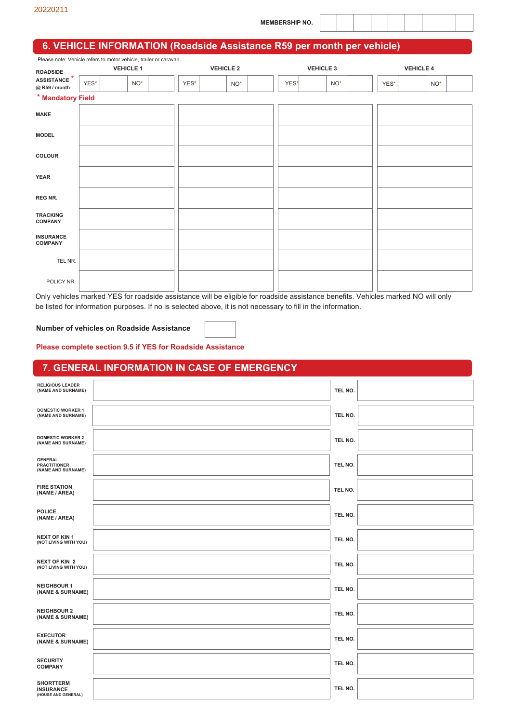#### **6. VEHICLE INFORMATION (Roadside Assistance R59 per month per vehicle)**

|                                              | Please note: Vehicle refers to motor vehicle, trailer or caravan |  |       |  |      |  |       |                  |      |  |       |                  |      |  |                 |  |
|----------------------------------------------|------------------------------------------------------------------|--|-------|--|------|--|-------|------------------|------|--|-------|------------------|------|--|-----------------|--|
| <b>ROADSIDE</b>                              | <b>VEHICLE 1</b><br><b>VEHICLE 2</b>                             |  |       |  |      |  |       | <b>VEHICLE 3</b> |      |  |       | <b>VEHICLE 4</b> |      |  |                 |  |
| ${\sf ASSISTANCE}$ $^\star$<br>@ R59 / month | YES*                                                             |  | $NO*$ |  | YES* |  | $NO*$ |                  | YES* |  | $NO*$ |                  | YES* |  | NO <sup>*</sup> |  |
| * Mandatory Field                            |                                                                  |  |       |  |      |  |       |                  |      |  |       |                  |      |  |                 |  |
| <b>MAKE</b>                                  |                                                                  |  |       |  |      |  |       |                  |      |  |       |                  |      |  |                 |  |
| <b>MODEL</b>                                 |                                                                  |  |       |  |      |  |       |                  |      |  |       |                  |      |  |                 |  |
| COLOUR                                       |                                                                  |  |       |  |      |  |       |                  |      |  |       |                  |      |  |                 |  |
| <b>YEAR</b>                                  |                                                                  |  |       |  |      |  |       |                  |      |  |       |                  |      |  |                 |  |
| <b>REG NR.</b>                               |                                                                  |  |       |  |      |  |       |                  |      |  |       |                  |      |  |                 |  |
| <b>TRACKING</b><br>COMPANY                   |                                                                  |  |       |  |      |  |       |                  |      |  |       |                  |      |  |                 |  |
| <b>INSURANCE</b><br><b>COMPANY</b>           |                                                                  |  |       |  |      |  |       |                  |      |  |       |                  |      |  |                 |  |
| TEL NR.                                      |                                                                  |  |       |  |      |  |       |                  |      |  |       |                  |      |  |                 |  |
| POLICY NR.                                   |                                                                  |  |       |  |      |  |       |                  |      |  |       |                  |      |  |                 |  |

Only vehicles marked YES for roadside assistance will be eligible for roadside assistance benefits. Vehicles marked NO will only be listed for information purposes. If no is selected above, it is not necessary to fill in the information.

**Number of vehicles on Roadside Assistance**

**Please complete section 9.5 if YES for Roadside Assistance**

## **7. GENERAL INFORMATION IN CASE OF EMERGENCY**

| <b>RELIGIOUS LEADER</b><br>(NAME AND SURNAME)               | TEL NO. |  |
|-------------------------------------------------------------|---------|--|
| <b>DOMESTIC WORKER 1</b><br>(NAME AND SURNAME)              | TEL NO. |  |
| <b>DOMESTIC WORKER 2</b><br>(NAME AND SURNAME)              | TEL NO. |  |
| <b>GENERAL</b><br><b>PRACTITIONER</b><br>(NAME AND SURNAME) | TEL NO. |  |
| <b>FIRE STATION</b><br>(NAME / AREA)                        | TEL NO. |  |
| <b>POLICE</b><br>(NAME / AREA)                              | TEL NO. |  |
| <b>NEXT OF KIN 1</b><br>(NOT LIVING WITH YOU)               | TEL NO. |  |
| <b>NEXT OF KIN 2</b><br>(NOT LIVING WITH YOU)               | TEL NO. |  |
| <b>NEIGHBOUR 1</b><br>(NAME & SURNAME)                      | TEL NO. |  |
| <b>NEIGHBOUR 2</b><br>(NAME & SURNAME)                      | TEL NO. |  |
| <b>EXECUTOR</b><br>(NAME & SURNAME)                         | TEL NO. |  |
| <b>SECURITY</b><br><b>COMPANY</b>                           | TEL NO. |  |
| <b>SHORTTERM</b><br><b>INSURANCE</b><br>(HOUSE AND GENERAL) | TEL NO. |  |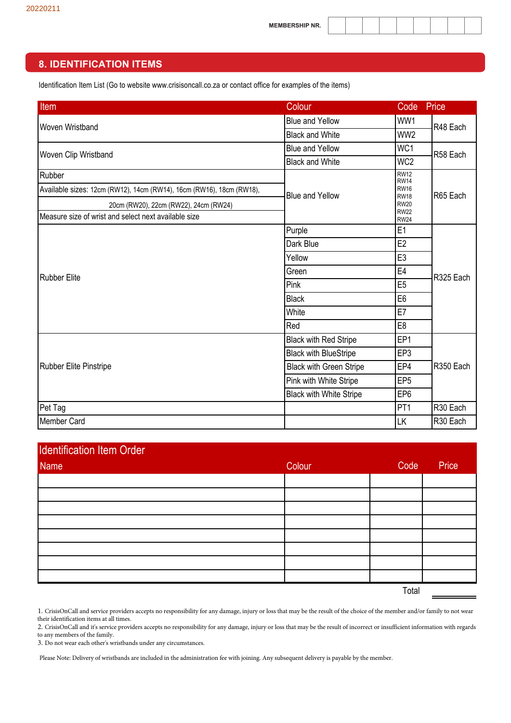Identification Item List (Go to website www.crisisoncall.co.za or contact office for examples of the items)

| Item                                                                 | Colour                         | Code                       | Price     |  |  |  |
|----------------------------------------------------------------------|--------------------------------|----------------------------|-----------|--|--|--|
| Woven Wristband                                                      | <b>Blue and Yellow</b>         | WW1                        | R48 Each  |  |  |  |
|                                                                      | <b>Black and White</b>         | WW <sub>2</sub>            |           |  |  |  |
| Woven Clip Wristband                                                 | <b>Blue and Yellow</b>         | WC1                        | R58 Each  |  |  |  |
|                                                                      | <b>Black and White</b>         | WC <sub>2</sub>            |           |  |  |  |
| Rubber                                                               |                                | <b>RW12</b><br><b>RW14</b> |           |  |  |  |
| Available sizes: 12cm (RW12), 14cm (RW14), 16cm (RW16), 18cm (RW18), | <b>Blue and Yellow</b>         | <b>RW16</b>                | R65 Each  |  |  |  |
| 20cm (RW20), 22cm (RW22), 24cm (RW24)                                |                                | <b>RW18</b><br><b>RW20</b> |           |  |  |  |
| Measure size of wrist and select next available size                 |                                | <b>RW22</b><br><b>RW24</b> |           |  |  |  |
|                                                                      | Purple                         | E1                         |           |  |  |  |
|                                                                      | Dark Blue                      | E <sub>2</sub>             |           |  |  |  |
|                                                                      | Yellow                         | E3                         |           |  |  |  |
| <b>Rubber Elite</b>                                                  | Green                          | E4                         | R325 Each |  |  |  |
|                                                                      | Pink                           | E <sub>5</sub>             |           |  |  |  |
|                                                                      | <b>Black</b>                   | E <sub>6</sub>             |           |  |  |  |
|                                                                      | White                          | E7                         |           |  |  |  |
|                                                                      | Red                            | E8                         |           |  |  |  |
|                                                                      | <b>Black with Red Stripe</b>   | EP <sub>1</sub>            |           |  |  |  |
|                                                                      | <b>Black with BlueStripe</b>   | EP3                        |           |  |  |  |
| <b>Rubber Elite Pinstripe</b>                                        | <b>Black with Green Stripe</b> | EP4                        | R350 Each |  |  |  |
|                                                                      | Pink with White Stripe         | EP <sub>5</sub>            |           |  |  |  |
|                                                                      | <b>Black with White Stripe</b> | EP <sub>6</sub>            |           |  |  |  |
| Pet Tag                                                              |                                | PT <sub>1</sub>            | R30 Each  |  |  |  |
| Member Card                                                          |                                | LK                         | R30 Each  |  |  |  |

## Identification Item Order

| <b>INGHILIPATION REAL ORDER</b> |        |               |
|---------------------------------|--------|---------------|
| Name                            | Colour | Price<br>Code |
|                                 |        |               |
|                                 |        |               |
|                                 |        |               |
|                                 |        |               |
|                                 |        |               |
|                                 |        |               |
|                                 |        |               |
|                                 |        |               |
|                                 |        | Total         |

1. CrisisOnCall and service providers accepts no responsibility for any damage, injury or loss that may be the result of the choice of the member and/or family to not wear their identification items at all times.

2. CrisisOnCall and it's service providers accepts no responsibility for any damage, injury or loss that may be the result of incorrect or insufficient information with regards to any members of the family.

3. Do not wear each other's wristbands under any circumstances.

Please Note: Delivery of wristbands are included in the administration fee with joining. Any subsequent delivery is payable by the member.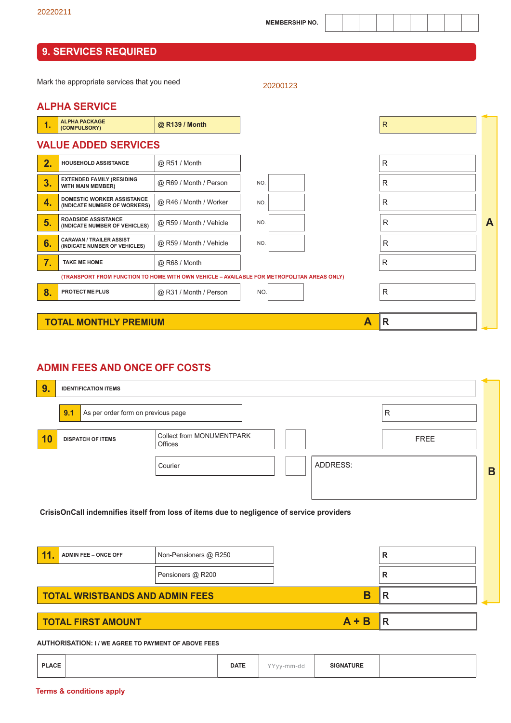### **9. SERVICES REQUIRED**

Mark the appropriate services that you need 20220211<br>**9. SERVICES REQUIRED**<br>Mark the appropriate services that you need 20200123

|                | <b>ALPHA SERVICE</b>                                              |                         |                                                                                            |   |
|----------------|-------------------------------------------------------------------|-------------------------|--------------------------------------------------------------------------------------------|---|
| $\mathbf{1}$ . | <b>ALPHA PACKAGE</b><br>(COMPULSORY)                              | @ R139 / Month          | $\mathsf{R}$                                                                               |   |
|                | <b>VALUE ADDED SERVICES</b>                                       |                         |                                                                                            |   |
| 2.             | <b>HOUSEHOLD ASSISTANCE</b>                                       | @ R51 / Month           | R                                                                                          |   |
| 3.             | <b>EXTENDED FAMILY (RESIDING</b><br><b>WITH MAIN MEMBER)</b>      | @ R69 / Month / Person  | R<br>NO.                                                                                   |   |
| 4.             | <b>DOMESTIC WORKER ASSISTANCE</b><br>(INDICATE NUMBER OF WORKERS) | @ R46 / Month / Worker  | R<br>NO.                                                                                   |   |
| 5.             | <b>ROADSIDE ASSISTANCE</b><br>(INDICATE NUMBER OF VEHICLES)       | @ R59 / Month / Vehicle | R<br>NO.                                                                                   | A |
| 6.             | <b>CARAVAN / TRAILER ASSIST</b><br>(INDICATE NUMBER OF VEHICLES)  | @ R59 / Month / Vehicle | R<br>NO.                                                                                   |   |
| 7.             | <b>TAKE ME HOME</b>                                               | @ R68 / Month           | R                                                                                          |   |
|                |                                                                   |                         | (TRANSPORT FROM FUNCTION TO HOME WITH OWN VEHICLE - AVAILABLE FOR METROPOLITAN AREAS ONLY) |   |
| 8.             | <b>PROTECTMEPLUS</b>                                              | @ R31 / Month / Person  | R<br>NO.                                                                                   |   |
|                |                                                                   |                         |                                                                                            |   |
|                | <b>TOTAL MONTHLY PREMIUM</b>                                      |                         | R<br>A                                                                                     |   |

# **ADMIN FEES AND ONCE OFF COSTS**

| 9. | <b>IDENTIFICATION ITEMS</b>               |                                                                                           |          |             |   |  |  |  |  |  |  |
|----|-------------------------------------------|-------------------------------------------------------------------------------------------|----------|-------------|---|--|--|--|--|--|--|
|    | As per order form on previous page<br>9.1 |                                                                                           |          | R           |   |  |  |  |  |  |  |
| 10 | <b>DISPATCH OF ITEMS</b>                  | Collect from MONUMENTPARK<br><b>Offices</b>                                               |          | <b>FREE</b> |   |  |  |  |  |  |  |
|    |                                           | Courier                                                                                   | ADDRESS: |             | B |  |  |  |  |  |  |
|    |                                           |                                                                                           |          |             |   |  |  |  |  |  |  |
|    |                                           | CrisisOnCall indemnifies itself from loss of items due to negligence of service providers |          |             |   |  |  |  |  |  |  |

| 11<br><b>ADMIN FEE - ONCE OFF</b>      | Non-Pensioners @ R250 |                           | R |
|----------------------------------------|-----------------------|---------------------------|---|
|                                        | Pensioners @ R200     |                           | R |
| <b>TOTAL WRISTBANDS AND ADMIN FEES</b> |                       | В                         | R |
| <b>TOTAL FIRST AMOUNT</b>              |                       | $\mathbf{A} + \mathbf{R}$ | R |

**AUTHORISATION: I / WE AGREE TO PAYMENT OF ABOVE FEES**

| <b>DATE</b><br><b>PLACE</b> | <b>SIGNATURE</b><br>$\mathcal{L}$<br>$\frac{1}{1}$<br>-mm-dd |
|-----------------------------|--------------------------------------------------------------|
|-----------------------------|--------------------------------------------------------------|